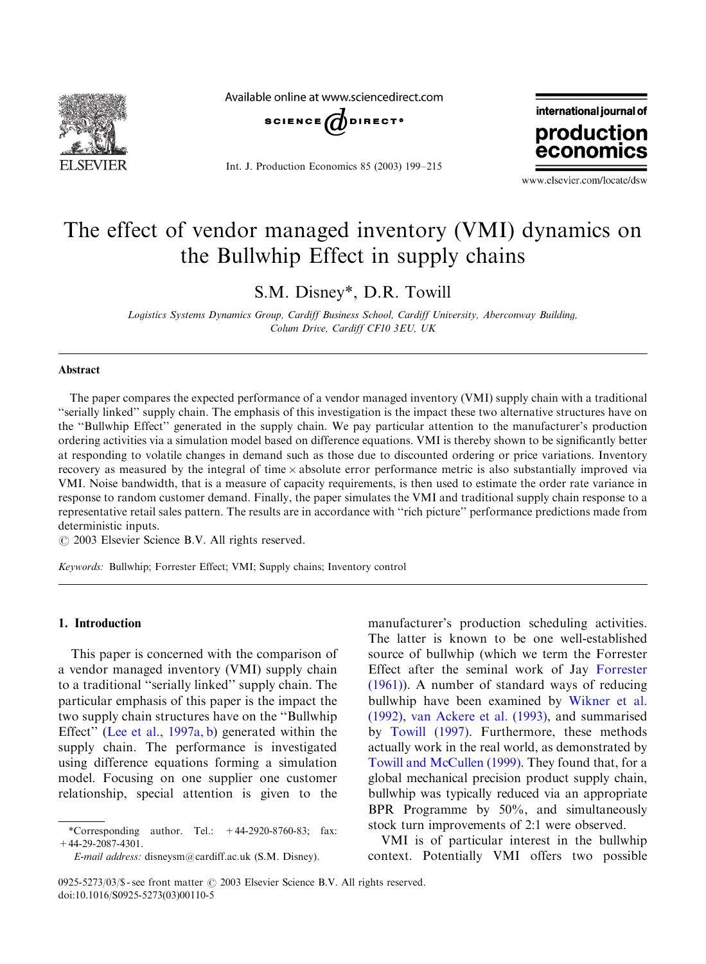

Available online at www.sciencedirect.com



Int. J. Production Economics 85 (2003) 199–215



www.elsevier.com/locate/dsw

## The effect of vendor managed inventory (VMI) dynamics on the Bullwhip Effect in supply chains

S.M. Disney\*, D.R. Towill

Logistics Systems Dynamics Group, Cardiff Business School, Cardiff University, Aberconway Building, Colum Drive, Cardiff CF10 3EU, UK

#### Abstract

The paper compares the expected performance of a vendor managed inventory (VMI) supply chain with a traditional ''serially linked'' supply chain. The emphasis of this investigation is the impact these two alternative structures have on the ''Bullwhip Effect'' generated in the supply chain. We pay particular attention to the manufacturer's production orderingactivities via a simulation model based on difference equations. VMI is thereby shown to be significantly better at responding to volatile changes in demand such as those due to discounted ordering or price variations. Inventory recovery as measured by the integral of time  $\times$  absolute error performance metric is also substantially improved via VMI. Noise bandwidth, that is a measure of capacity requirements, is then used to estimate the order rate variance in response to random customer demand. Finally, the paper simulates the VMI and traditional supply chain response to a representative retail sales pattern. The results are in accordance with ''rich picture'' performance predictions made from deterministic inputs.

 $\odot$  2003 Elsevier Science B.V. All rights reserved.

Keywords: Bullwhip; Forrester Effect; VMI; Supply chains; Inventory control

#### 1. Introduction

This paper is concerned with the comparison of a vendor managed inventory (VMI) supply chain to a traditional ''serially linked'' supply chain. The particular emphasis of this paper is the impact the two supply chain structures have on the ''Bullwhip Effect'' ([Lee et al., 1997a, b](#page--1-0)) generated within the supply chain. The performance is investigated using difference equations forming a simulation model. Focusing on one supplier one customer relationship, special attention is given to the

manufacturer's production scheduling activities. The latter is known to be one well-established source of bullwhip (which we term the Forrester Effect after the seminal work of Jay [Forrester](#page--1-0) [\(1961\)\)](#page--1-0). A number of standard ways of reducing bullwhip have been examined by [Wikner et al.](#page--1-0) [\(1992\),](#page--1-0) [van Ackere et al. \(1993\)](#page--1-0), and summarised by [Towill \(1997\).](#page--1-0) Furthermore, these methods actually work in the real world, as demonstrated by [Towill and McCullen \(1999\)](#page--1-0). They found that, for a global mechanical precision product supply chain, bullwhip was typically reduced via an appropriate BPR Programme by 50%, and simultaneously stock turn improvements of 2:1 were observed.

VMI is of particular interest in the bullwhip context. Potentially VMI offers two possible

<sup>\*</sup>Corresponding author. Tel.:  $+44-2920-8760-83$ ; fax: +44-29-2087-4301.

E-mail address: disneysm@cardiff.ac.uk (S.M. Disney).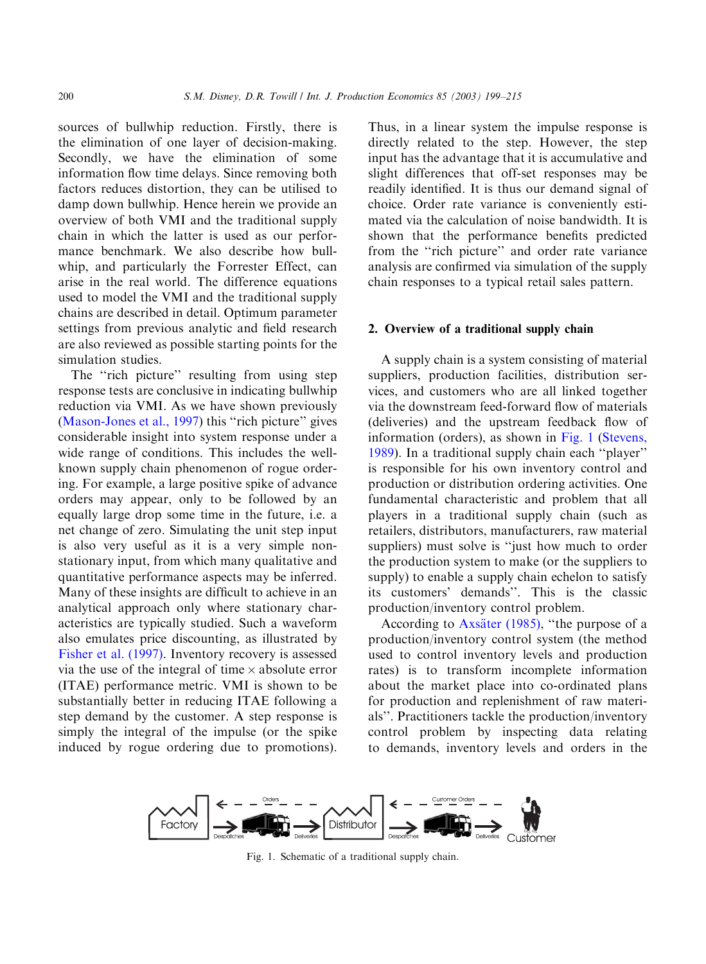sources of bullwhip reduction. Firstly, there is the elimination of one layer of decision-making. Secondly, we have the elimination of some information flow time delays. Since removing both factors reduces distortion, they can be utilised to damp down bullwhip. Hence herein we provide an overview of both VMI and the traditional supply chain in which the latter is used as our performance benchmark. We also describe how bullwhip, and particularly the Forrester Effect, can arise in the real world. The difference equations used to model the VMI and the traditional supply chains are described in detail. Optimum parameter settings from previous analytic and field research are also reviewed as possible starting points for the simulation studies.

The "rich picture" resulting from using step response tests are conclusive in indicating bullwhip reduction via VMI. As we have shown previously [\(Mason-Jones et al., 1997](#page--1-0)) this ''rich picture'' gives considerable insight into system response under a wide range of conditions. This includes the wellknown supply chain phenomenon of rogue ordering. For example, a large positive spike of advance orders may appear, only to be followed by an equally large drop some time in the future, i.e. a net change of zero. Simulating the unit step input is also very useful as it is a very simple nonstationary input, from which many qualitative and quantitative performance aspects may be inferred. Many of these insights are difficult to achieve in an analytical approach only where stationary characteristics are typically studied. Such a waveform also emulates price discounting, as illustrated by [Fisher et al. \(1997\).](#page--1-0) Inventory recovery is assessed via the use of the integral of time  $\times$  absolute error (ITAE) performance metric. VMI is shown to be substantially better in reducing ITAE following a step demand by the customer. A step response is simply the integral of the impulse (or the spike induced by rogue ordering due to promotions).

Thus, in a linear system the impulse response is directly related to the step. However, the step input has the advantage that it is accumulative and slight differences that off-set responses may be readily identified. It is thus our demand signal of choice. Order rate variance is conveniently estimated via the calculation of noise bandwidth. It is shown that the performance benefits predicted from the "rich picture" and order rate variance analysis are confirmed via simulation of the supply chain responses to a typical retail sales pattern.

### 2. Overview of a traditional supply chain

A supply chain is a system consistingof material suppliers, production facilities, distribution services, and customers who are all linked together via the downstream feed-forward flow of materials (deliveries) and the upstream feedback flow of information (orders), as shown in Fig. 1 [\(Stevens,](#page--1-0) [1989\)](#page--1-0). In a traditional supply chain each ''player'' is responsible for his own inventory control and production or distribution ordering activities. One fundamental characteristic and problem that all players in a traditional supply chain (such as retailers, distributors, manufacturers, raw material suppliers) must solve is "just how much to order the production system to make (or the suppliers to supply) to enable a supply chain echelon to satisfy its customers' demands''. This is the classic production/inventory control problem.

According to Axsäter (1985), "the purpose of a production/inventory control system (the method used to control inventory levels and production rates) is to transform incomplete information about the market place into co-ordinated plans for production and replenishment of raw materials''. Practitioners tackle the production/inventory control problem by inspecting data relating to demands, inventory levels and orders in the



Fig. 1. Schematic of a traditional supply chain.